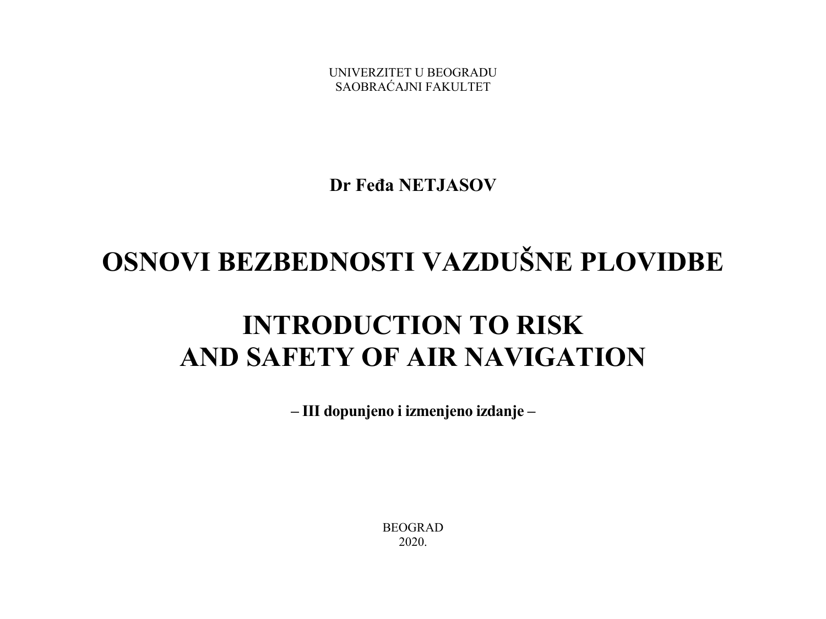UNIVERZITET U BEOGRADU SAOBRAĆAJNI FAKULTET

**Dr Feđa NETJASOV** 

## **OSNOVI BEZBEDNOSTI VAZDUŠNE PLOVIDBE**

## **INTRODUCTION TO RISK AND SAFETY OF AIR NAVIGATION**

**– III dopunjeno i izmenjeno izdanje –** 

BEOGRAD 2020.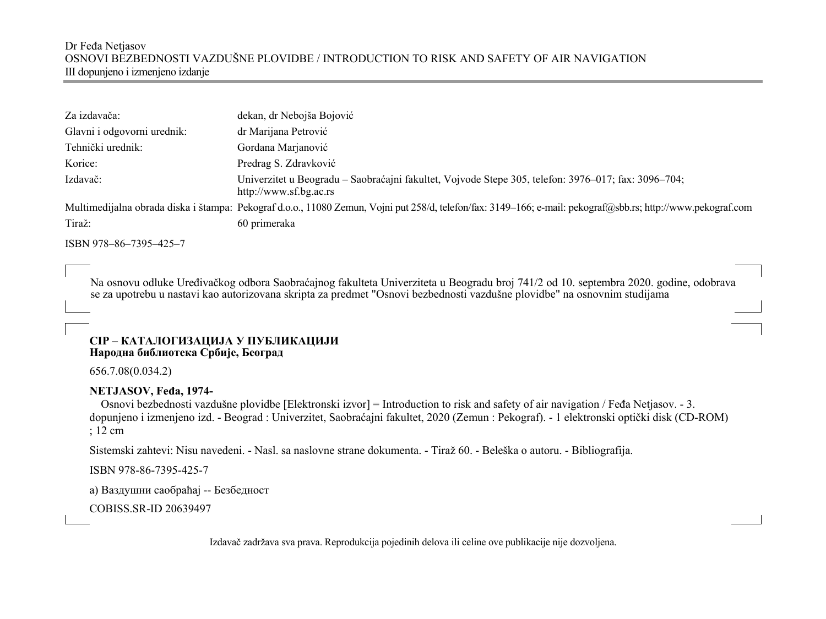#### Dr Feđa Netjasov OSNOVI BEZBEDNOSTI VAZDUŠNE PLOVIDBE / INTRODUCTION TO RISK AND SAFETY OF AIR NAVIGATION III dopunjeno i izmenjeno izdanje

| Za izdavača:                | dekan, dr Nebojša Bojović                                                                                                                                    |
|-----------------------------|--------------------------------------------------------------------------------------------------------------------------------------------------------------|
| Glavni i odgovorni urednik: | dr Marijana Petrović                                                                                                                                         |
| Tehnički urednik:           | Gordana Marjanović                                                                                                                                           |
| Korice:                     | Predrag S. Zdravković                                                                                                                                        |
| Izdavač:                    | Univerzitet u Beogradu – Saobraćajni fakultet, Vojvode Stepe 305, telefon: 3976–017; fax: 3096–704;<br>http://www.sf.bg.ac.rs                                |
|                             | Multimedijalna obrada diska i štampa: Pekograf d.o.o., 11080 Zemun, Vojni put 258/d, telefon/fax: 3149–166; e-mail: pekograf@sbb.rs; http://www.pekograf.com |
| Tiraž:                      | 60 primeraka                                                                                                                                                 |
| ISBN 978-86-7395-425-7      |                                                                                                                                                              |

 Na osnovu odluke Uređivačkog odbora Saobraćajnog fakulteta Univerziteta u Beogradu broj 741/2 od 10. septembra 2020. godine, odobrava se za upotrebu u nastavi kao autorizovana skripta za predmet "Osnovi bezbednosti vazdušne plovidbe" na osnovnim studijama

#### **CIP – КАТАЛОГИЗАЦИЈА У ПУБЛИКАЦИЈИ Народна библиотека Србије, Београд**

656.7.08(0.034.2)

#### **NETJASOV, Feđa, 1974-**

 Osnovi bezbednosti vazdušne plovidbe [Elektronski izvor] = Introduction to risk and safety of air navigation / Feđa Netjasov. - 3. dopunjeno i izmenjeno izd. - Beograd : Univerzitet, Saobraćajni fakultet, 2020 (Zemun : Pekograf). - 1 elektronski optički disk (CD-ROM) ; 12 cm

Sistemski zahtevi: Nisu navedeni. - Nasl. sa naslovne strane dokumenta. - Tiraž 60. - Beleška o autoru. - Bibliografija.

ISBN 978-86-7395-425-7

<sup>а</sup>) Ваздушни саобраћај -- Безбедност

COBISS.SR-ID 20639497

Izdavač zadržava sva prava. Reprodukcija pojedinih delova ili celine ove publikacije nije dozvoljena.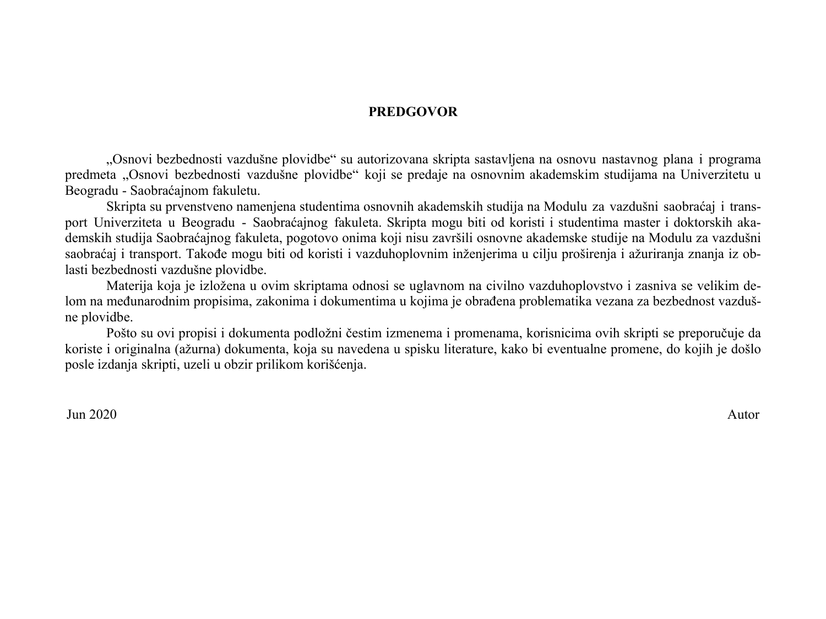#### **PREDGOVOR**

"Osnovi bezbednosti vazdušne plovidbe" su autorizovana skripta sastavljena na osnovu nastavnog plana i programa predmeta "Osnovi bezbednosti vazdušne plovidbe" koji se predaje na osnovnim akademskim studijama na Univerzitetu u Beogradu - Saobraćajnom fakuletu.

Skripta su prvenstveno namenjena studentima osnovnih akademskih studija na Modulu za vazdušni saobraćaj i transport Univerziteta u Beogradu - Saobraćajnog fakuleta. Skripta mogu biti od koristi i studentima master i doktorskih akademskih studija Saobraćajnog fakuleta, pogotovo onima koji nisu završili osnovne akademske studije na Modulu za vazdušni saobraćaj i transport. Takođe mogu biti od koristi i vazduhoplovnim inženjerima u cilju proširenja i ažuriranja znanja iz oblasti bezbednosti vazdušne plovidbe.

Materija koja je izložena u ovim skriptama odnosi se uglavnom na civilno vazduhoplovstvo i zasniva se velikim delom na međunarodnim propisima, zakonima i dokumentima u kojima je obrađena problematika vezana za bezbednost vazdušne plovidbe.

Pošto su ovi propisi i dokumenta podložni čestim izmenema i promenama, korisnicima ovih skripti se preporučuje da koriste i originalna (ažurna) dokumenta, koja su navedena u spisku literature, kako bi eventualne promene, do kojih je došlo posle izdanja skripti, uzeli u obzir prilikom korišćenja.

Jun 2020 Autor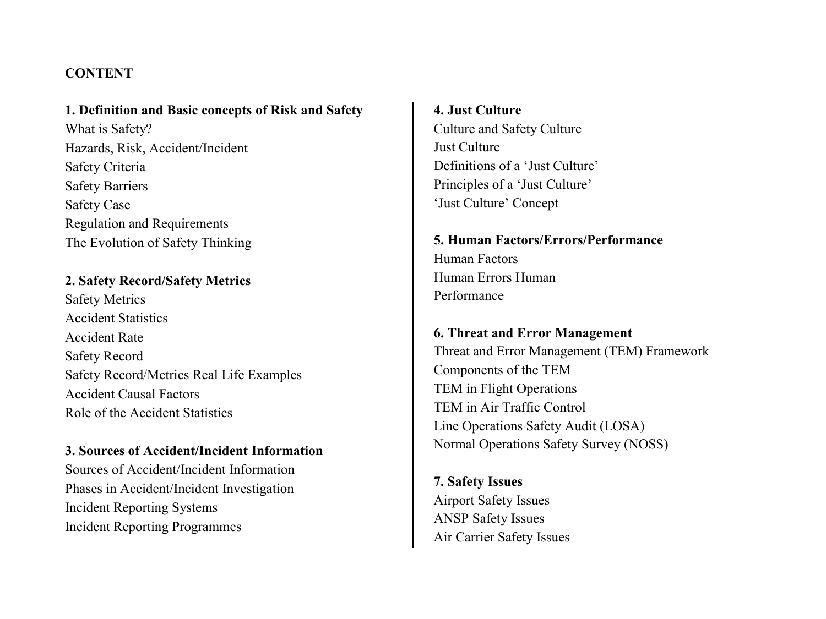#### **CONTENT**

**1. Definition and Basic concepts of Risk and Safety** What is Safety? Hazards, Risk, Accident/Incident Safety Criteria Safety Barriers Safety Case Regulation and Requirements The Evolution of Safety Thinking

**2. Safety Record/Safety Metrics** Safety Metrics Accident Statistics Accident Rate Safety Record Safety Record/Metrics Real Life Examples Accident Causal Factors Role of the Accident Statistics

#### **3. Sources of Accident/Incident Information**

Sources of Accident/Incident Information Phases in Accident/Incident Investigation Incident Reporting Systems Incident Reporting Programmes

**4. Just Culture**Culture and Safety Culture Just Culture Definitions of a 'Just Culture' Principles of a 'Just Culture' 'Just Culture' Concept

**5. Human Factors/Errors/Performance**Human Factors Human Errors Human Performance

**6. Threat and Error Management** Threat and Error Management (TEM) Framework Components of the TEM TEM in Flight Operations TEM in Air Traffic Control Line Operations Safety Audit (LOSA) Normal Operations Safety Survey (NOSS)

**7. Safety Issues** Airport Safety Issues ANSP Safety Issues Air Carrier Safety Issues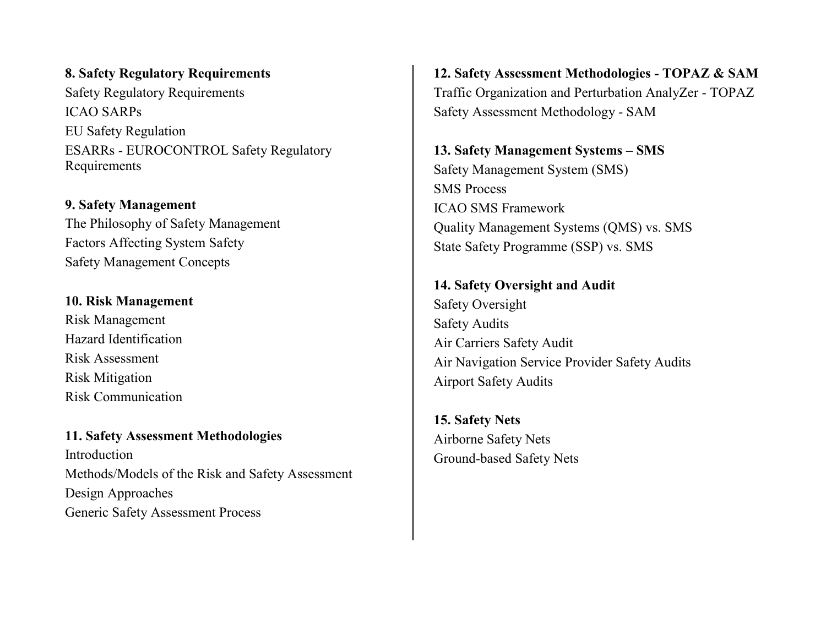**8. Safety Regulatory Requirements**  Safety Regulatory Requirements ICAO SARPs EU Safety Regulation ESARRs - EUROCONTROL Safety Regulatory Requirements

**9. Safety Management** The Philosophy of Safety Management Factors Affecting System Safety Safety Management Concepts

#### **10. Risk Management**

Risk Management Hazard Identification Risk Assessment Risk Mitigation Risk Communication

**11. Safety Assessment Methodologies** Introduction Methods/Models of the Risk and Safety Assessment Design Approaches Generic Safety Assessment Process

**12. Safety Assessment Methodologies - TOPAZ & SAM** Traffic Organization and Perturbation AnalyZer - TOPAZ Safety Assessment Methodology - SAM

**13. Safety Management Systems – SMS**  Safety Management System (SMS) SMS Process ICAO SMS Framework Quality Management Systems (QMS) vs. SMS State Safety Programme (SSP) vs. SMS

**14. Safety Oversight and Audit** Safety Oversight Safety Audits Air Carriers Safety Audit Air Navigation Service Provider Safety Audits Airport Safety Audits

**15. Safety Nets** Airborne Safety Nets Ground-based Safety Nets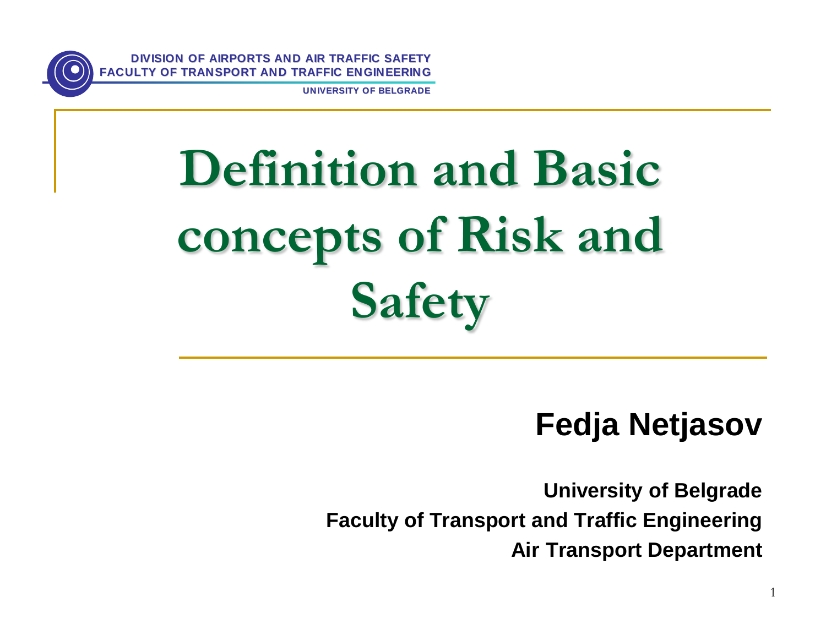

**UNIVERSITY OF BELGRADE**

# **Definition and Basic concepts of Risk and Safety AIR OF TRANSPORT AND TRAFFIC ENGINEERING**<br> **AIRPORT AND TRAFFIC ENGINEERING**<br> **AIRPORT AND TRAFFIC ENGINEERING**<br> **AIRPORT OF RISK and<br>
Safety**<br>
Fedja Netjasov<br>
Praculty of Transport and Traffic Engineering<br>
Air Transport

## **Fedja Netjasov**

**University of Belgrade Faculty of Transport and Traffic Engineering**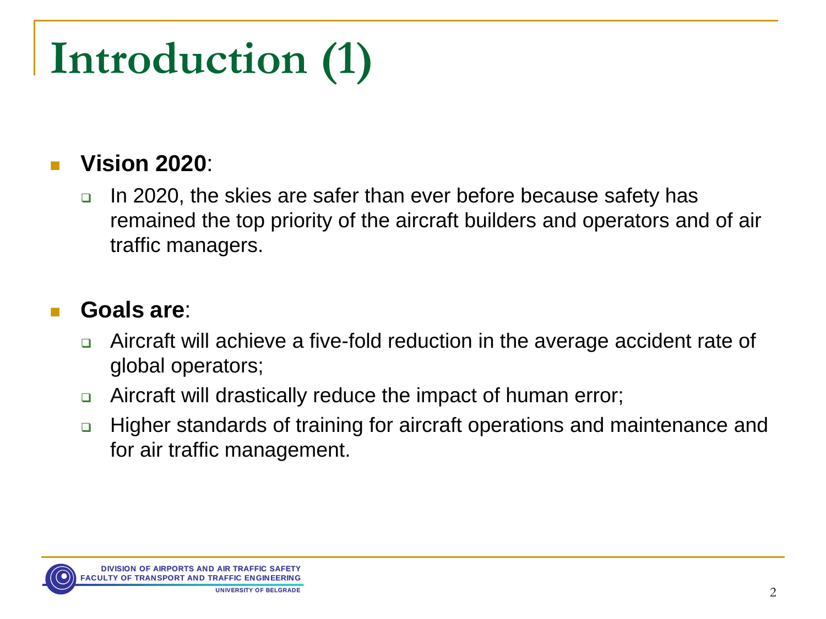# **Introduction (1)**

## **Vision 2020**:

□ In 2020, the skies are safer than ever before because safety has remained the top priority of the aircraft builders and operators and of air traffic managers.

### **Goals are**:

- □ Aircraft will achieve a five-fold reduction in the average accident rate of global operators;
- Aircraft will drastically reduce the impact of human error;
- Higher standards of training for aircraft operations and maintenance and for air traffic management.

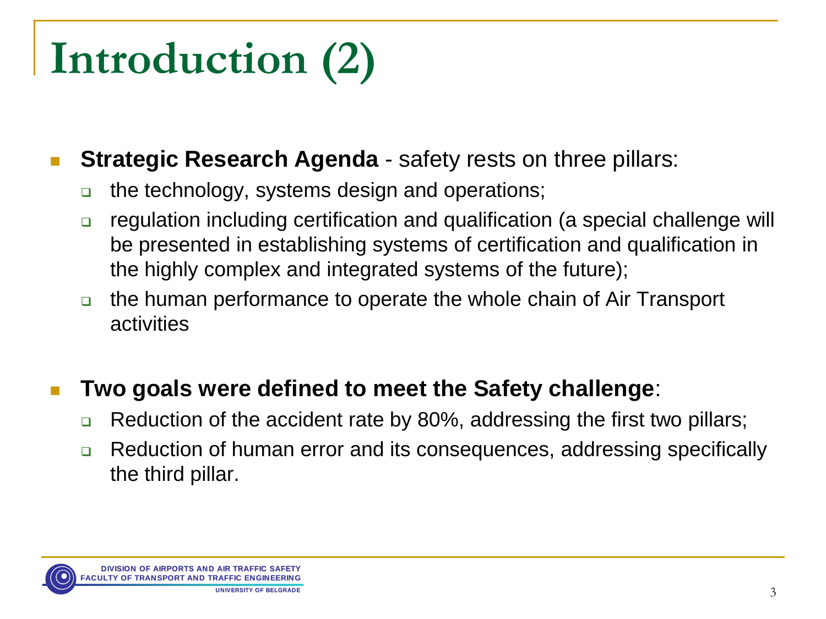# **Introduction (2)**

## **Strategic Research Agenda** - safety rests on three pillars:

- □ the technology, systems design and operations;
- regulation including certification and qualification (a special challenge will be presented in establishing systems of certification and qualification in the highly complex and integrated systems of the future);
- the human performance to operate the whole chain of Air Transport activities

## **Two goals were defined to meet the Safety challenge**:

- $\Box$  Reduction of the accident rate by 80%, addressing the first two pillars;
- **□** Reduction of human error and its consequences, addressing specifically the third pillar.

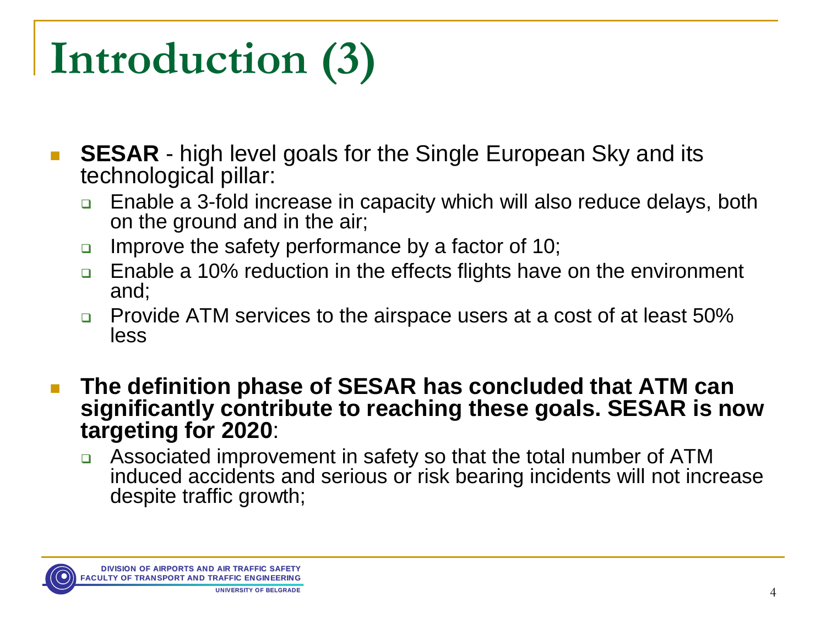# **Introduction (3)**

- **SESAR** high level goals for the Single European Sky and its technological pillar:
	- Enable a 3-fold increase in capacity which will also reduce delays, both on the ground and in the air;
	- **Improve the safety performance by a factor of 10;**
	- □ Enable a 10% reduction in the effects flights have on the environment and;
	- □ Provide ATM services to the airspace users at a cost of at least 50% less
- **The definition phase of SESAR has concluded that ATM can significantly contribute to reaching these goals. SESAR is now targeting for 2020**:
	- Associated improvement in safety so that the total number of ATM induced accidents and serious or risk bearing incidents will not increase despite traffic growth;